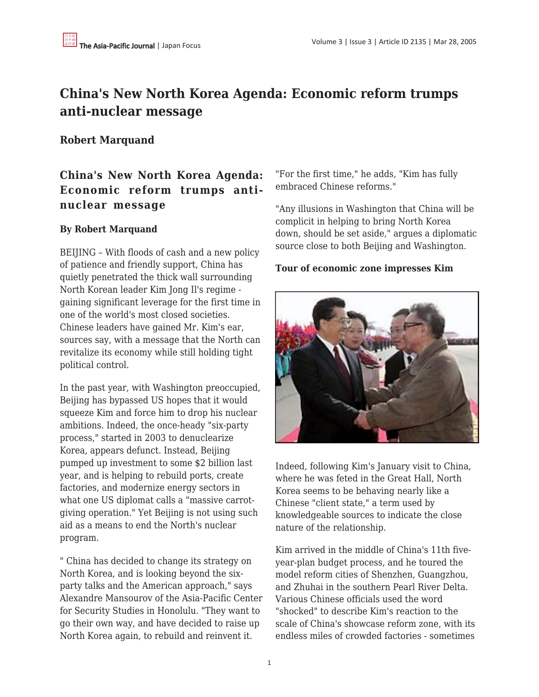# **China's New North Korea Agenda: Economic reform trumps anti-nuclear message**

### **Robert Marquand**

## **China's New North Korea Agenda: Economic reform trumps antinuclear message**

#### **By Robert Marquand**

BEIJING – With floods of cash and a new policy of patience and friendly support, China has quietly penetrated the thick wall surrounding North Korean leader Kim Jong Il's regime gaining significant leverage for the first time in one of the world's most closed societies. Chinese leaders have gained Mr. Kim's ear, sources say, with a message that the North can revitalize its economy while still holding tight political control.

In the past year, with Washington preoccupied, Beijing has bypassed US hopes that it would squeeze Kim and force him to drop his nuclear ambitions. Indeed, the once-heady "six-party process," started in 2003 to denuclearize Korea, appears defunct. Instead, Beijing pumped up investment to some \$2 billion last year, and is helping to rebuild ports, create factories, and modernize energy sectors in what one US diplomat calls a "massive carrotgiving operation." Yet Beijing is not using such aid as a means to end the North's nuclear program.

" China has decided to change its strategy on North Korea, and is looking beyond the sixparty talks and the American approach," says Alexandre Mansourov of the Asia-Pacific Center for Security Studies in Honolulu. "They want to go their own way, and have decided to raise up North Korea again, to rebuild and reinvent it.

"For the first time," he adds, "Kim has fully embraced Chinese reforms."

"Any illusions in Washington that China will be complicit in helping to bring North Korea down, should be set aside," argues a diplomatic source close to both Beijing and Washington.

#### **Tour of economic zone impresses Kim**



Indeed, following Kim's January visit to China, where he was feted in the Great Hall, North Korea seems to be behaving nearly like a Chinese "client state," a term used by knowledgeable sources to indicate the close nature of the relationship.

Kim arrived in the middle of China's 11th fiveyear-plan budget process, and he toured the model reform cities of Shenzhen, Guangzhou, and Zhuhai in the southern Pearl River Delta. Various Chinese officials used the word "shocked" to describe Kim's reaction to the scale of China's showcase reform zone, with its endless miles of crowded factories - sometimes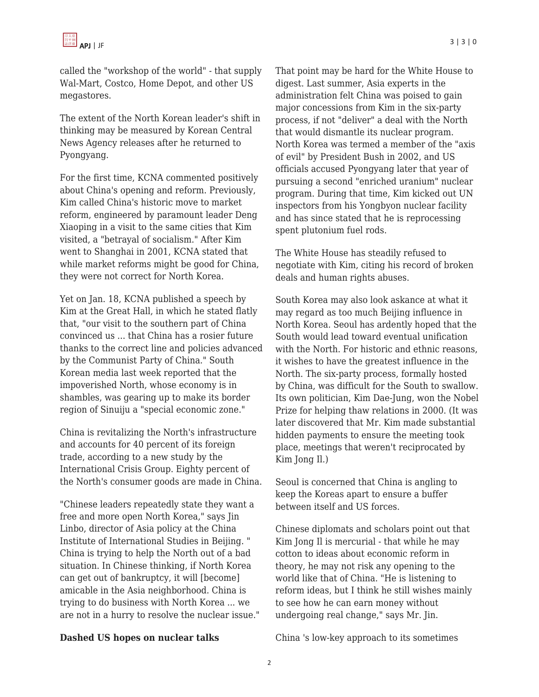called the "workshop of the world" - that supply Wal-Mart, Costco, Home Depot, and other US megastores.

The extent of the North Korean leader's shift in thinking may be measured by Korean Central News Agency releases after he returned to Pyongyang.

For the first time, KCNA commented positively about China's opening and reform. Previously, Kim called China's historic move to market reform, engineered by paramount leader Deng Xiaoping in a visit to the same cities that Kim visited, a "betrayal of socialism." After Kim went to Shanghai in 2001, KCNA stated that while market reforms might be good for China, they were not correct for North Korea.

Yet on Jan. 18, KCNA published a speech by Kim at the Great Hall, in which he stated flatly that, "our visit to the southern part of China convinced us ... that China has a rosier future thanks to the correct line and policies advanced by the Communist Party of China." South Korean media last week reported that the impoverished North, whose economy is in shambles, was gearing up to make its border region of Sinuiju a "special economic zone."

China is revitalizing the North's infrastructure and accounts for 40 percent of its foreign trade, according to a new study by the International Crisis Group. Eighty percent of the North's consumer goods are made in China.

"Chinese leaders repeatedly state they want a free and more open North Korea," says Jin Linbo, director of Asia policy at the China Institute of International Studies in Beijing. " China is trying to help the North out of a bad situation. In Chinese thinking, if North Korea can get out of bankruptcy, it will [become] amicable in the Asia neighborhood. China is trying to do business with North Korea ... we are not in a hurry to resolve the nuclear issue." That point may be hard for the White House to digest. Last summer, Asia experts in the administration felt China was poised to gain major concessions from Kim in the six-party process, if not "deliver" a deal with the North that would dismantle its nuclear program. North Korea was termed a member of the "axis of evil" by President Bush in 2002, and US officials accused Pyongyang later that year of pursuing a second "enriched uranium" nuclear program. During that time, Kim kicked out UN inspectors from his Yongbyon nuclear facility and has since stated that he is reprocessing spent plutonium fuel rods.

The White House has steadily refused to negotiate with Kim, citing his record of broken deals and human rights abuses.

South Korea may also look askance at what it may regard as too much Beijing influence in North Korea. Seoul has ardently hoped that the South would lead toward eventual unification with the North. For historic and ethnic reasons, it wishes to have the greatest influence in the North. The six-party process, formally hosted by China, was difficult for the South to swallow. Its own politician, Kim Dae-Jung, won the Nobel Prize for helping thaw relations in 2000. (It was later discovered that Mr. Kim made substantial hidden payments to ensure the meeting took place, meetings that weren't reciprocated by Kim Jong Il.)

Seoul is concerned that China is angling to keep the Koreas apart to ensure a buffer between itself and US forces.

Chinese diplomats and scholars point out that Kim Jong Il is mercurial - that while he may cotton to ideas about economic reform in theory, he may not risk any opening to the world like that of China. "He is listening to reform ideas, but I think he still wishes mainly to see how he can earn money without undergoing real change," says Mr. Jin.

#### **Dashed US hopes on nuclear talks**

China 's low-key approach to its sometimes